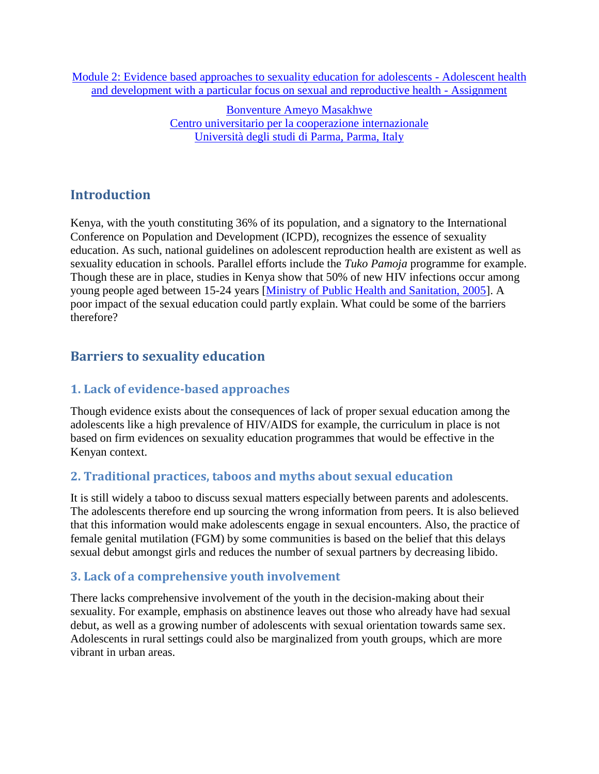[Module 2: Evidence based approaches to sexuality education for adolescents -](http://www.gfmer.ch/SRH-Course-2010/adolescent-sexual-reproductive-health/Module-2-Sexuality-education-adolescents.htm) Adolescent health [and development with a particular focus on sexual and reproductive health -](http://www.gfmer.ch/SRH-Course-2010/adolescent-sexual-reproductive-health/Module-2-Sexuality-education-adolescents.htm) Assignment

> [Bonventure Ameyo Masakhwe](http://www.gfmer.ch/SRH-Course-2010/participants/Masakhwe-Bonventure-Ameyo.htm) [Centro universitario per la cooperazione internazionale](http://www.gfmer.ch/SRH-Course-2010/participants/Masakhwe-Bonventure-Ameyo.htm) [Università degli studi di Parma, Parma, Italy](http://www.gfmer.ch/SRH-Course-2010/participants/Masakhwe-Bonventure-Ameyo.htm)

# **Introduction**

Kenya, with the youth constituting 36% of its population, and a signatory to the International Conference on Population and Development (ICPD), recognizes the essence of sexuality education. As such, national guidelines on adolescent reproduction health are existent as well as sexuality education in schools. Parallel efforts include the *Tuko Pamoja* programme for example. Though these are in place, studies in Kenya show that 50% of new HIV infections occur among young people aged between 15-24 years [\[Ministry of Public Health and Sanitation, 2005\]](http://www.drh.go.ke/documents/National%20guidelines%20for%20provision%20of%20YFS.pdf). A poor impact of the sexual education could partly explain. What could be some of the barriers therefore?

# **Barriers to sexuality education**

### **1. Lack of evidence-based approaches**

Though evidence exists about the consequences of lack of proper sexual education among the adolescents like a high prevalence of HIV/AIDS for example, the curriculum in place is not based on firm evidences on sexuality education programmes that would be effective in the Kenyan context.

## **2. Traditional practices, taboos and myths about sexual education**

It is still widely a taboo to discuss sexual matters especially between parents and adolescents. The adolescents therefore end up sourcing the wrong information from peers. It is also believed that this information would make adolescents engage in sexual encounters. Also, the practice of female genital mutilation (FGM) by some communities is based on the belief that this delays sexual debut amongst girls and reduces the number of sexual partners by decreasing libido.

### **3. Lack of a comprehensive youth involvement**

There lacks comprehensive involvement of the youth in the decision-making about their sexuality. For example, emphasis on abstinence leaves out those who already have had sexual debut, as well as a growing number of adolescents with sexual orientation towards same sex. Adolescents in rural settings could also be marginalized from youth groups, which are more vibrant in urban areas.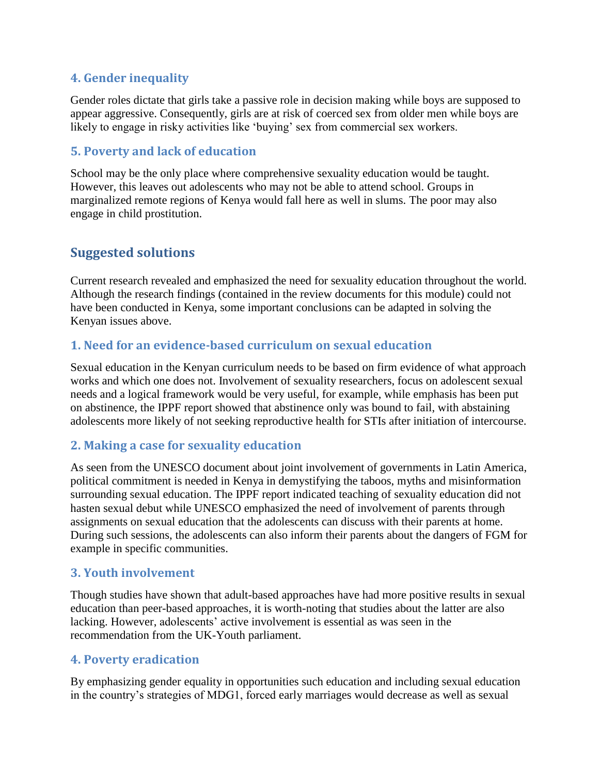### **4. Gender inequality**

Gender roles dictate that girls take a passive role in decision making while boys are supposed to appear aggressive. Consequently, girls are at risk of coerced sex from older men while boys are likely to engage in risky activities like 'buying' sex from commercial sex workers.

### **5. Poverty and lack of education**

School may be the only place where comprehensive sexuality education would be taught. However, this leaves out adolescents who may not be able to attend school. Groups in marginalized remote regions of Kenya would fall here as well in slums. The poor may also engage in child prostitution.

# **Suggested solutions**

Current research revealed and emphasized the need for sexuality education throughout the world. Although the research findings (contained in the review documents for this module) could not have been conducted in Kenya, some important conclusions can be adapted in solving the Kenyan issues above.

### **1. Need for an evidence-based curriculum on sexual education**

Sexual education in the Kenyan curriculum needs to be based on firm evidence of what approach works and which one does not. Involvement of sexuality researchers, focus on adolescent sexual needs and a logical framework would be very useful, for example, while emphasis has been put on abstinence, the IPPF report showed that abstinence only was bound to fail, with abstaining adolescents more likely of not seeking reproductive health for STIs after initiation of intercourse.

### **2. Making a case for sexuality education**

As seen from the UNESCO document about joint involvement of governments in Latin America, political commitment is needed in Kenya in demystifying the taboos, myths and misinformation surrounding sexual education. The IPPF report indicated teaching of sexuality education did not hasten sexual debut while UNESCO emphasized the need of involvement of parents through assignments on sexual education that the adolescents can discuss with their parents at home. During such sessions, the adolescents can also inform their parents about the dangers of FGM for example in specific communities.

### **3. Youth involvement**

Though studies have shown that adult-based approaches have had more positive results in sexual education than peer-based approaches, it is worth-noting that studies about the latter are also lacking. However, adolescents' active involvement is essential as was seen in the recommendation from the UK-Youth parliament.

#### **4. Poverty eradication**

By emphasizing gender equality in opportunities such education and including sexual education in the country's strategies of MDG1, forced early marriages would decrease as well as sexual